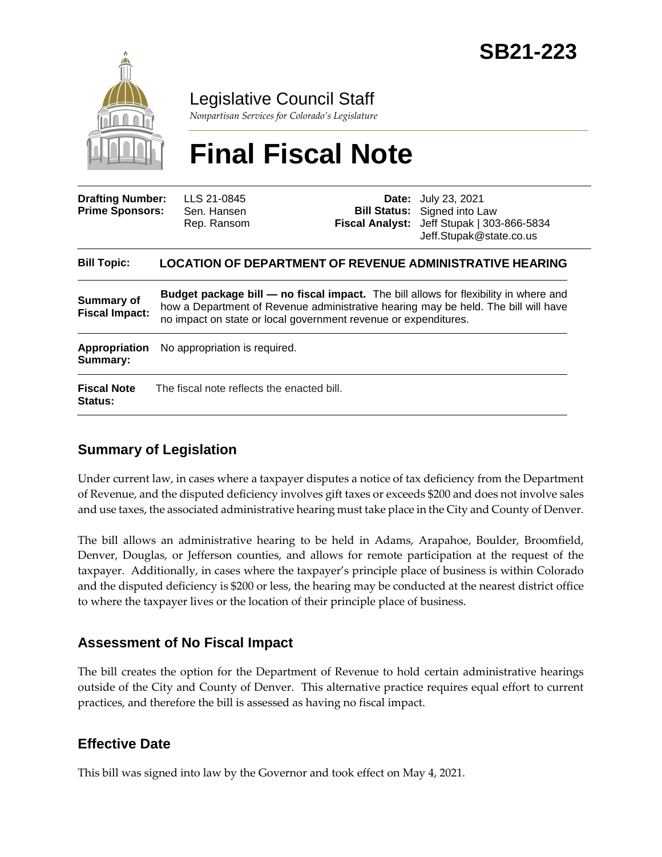

Legislative Council Staff

*Nonpartisan Services for Colorado's Legislature*

# **Final Fiscal Note**

| <b>Drafting Number:</b><br><b>Prime Sponsors:</b> | LLS 21-0845<br>Sen. Hansen<br>Rep. Ransom                                                                                                                                                                                                            | Date: | July 23, 2021<br><b>Bill Status:</b> Signed into Law<br>Fiscal Analyst: Jeff Stupak   303-866-5834<br>Jeff.Stupak@state.co.us |
|---------------------------------------------------|------------------------------------------------------------------------------------------------------------------------------------------------------------------------------------------------------------------------------------------------------|-------|-------------------------------------------------------------------------------------------------------------------------------|
| <b>Bill Topic:</b>                                |                                                                                                                                                                                                                                                      |       | <b>LOCATION OF DEPARTMENT OF REVENUE ADMINISTRATIVE HEARING</b>                                                               |
| <b>Summary of</b><br><b>Fiscal Impact:</b>        | <b>Budget package bill — no fiscal impact.</b> The bill allows for flexibility in where and<br>how a Department of Revenue administrative hearing may be held. The bill will have<br>no impact on state or local government revenue or expenditures. |       |                                                                                                                               |
| Appropriation<br>Summary:                         | No appropriation is required.                                                                                                                                                                                                                        |       |                                                                                                                               |
| <b>Fiscal Note</b><br><b>Status:</b>              | The fiscal note reflects the enacted bill.                                                                                                                                                                                                           |       |                                                                                                                               |

## **Summary of Legislation**

Under current law, in cases where a taxpayer disputes a notice of tax deficiency from the Department of Revenue, and the disputed deficiency involves gift taxes or exceeds \$200 and does not involve sales and use taxes, the associated administrative hearing must take place in the City and County of Denver.

The bill allows an administrative hearing to be held in Adams, Arapahoe, Boulder, Broomfield, Denver, Douglas, or Jefferson counties, and allows for remote participation at the request of the taxpayer. Additionally, in cases where the taxpayer's principle place of business is within Colorado and the disputed deficiency is \$200 or less, the hearing may be conducted at the nearest district office to where the taxpayer lives or the location of their principle place of business.

## **Assessment of No Fiscal Impact**

The bill creates the option for the Department of Revenue to hold certain administrative hearings outside of the City and County of Denver. This alternative practice requires equal effort to current practices, and therefore the bill is assessed as having no fiscal impact.

## **Effective Date**

This bill was signed into law by the Governor and took effect on May 4, 2021.